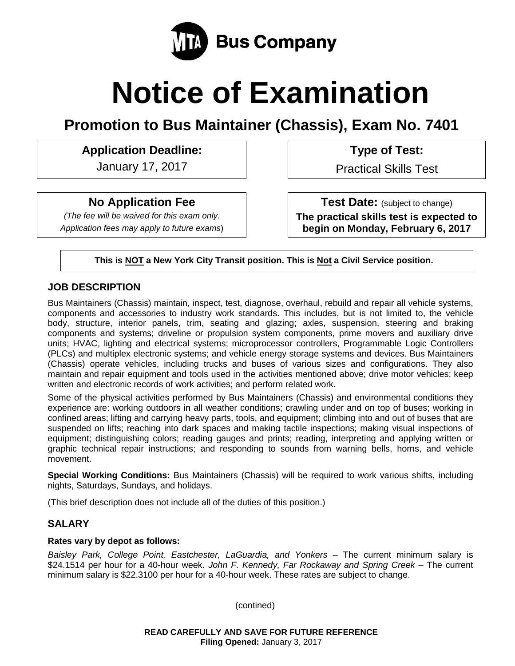

# **Notice of Examination**

**Promotion to Bus Maintainer (Chassis), Exam No. 7401**

# **Application Deadline: Type of Test:**

January 17, 2017 **Practical Skills Test** 

# **No Application Fee**

*(The fee will be waived for this exam only. Application fees may apply to future exams*)

**Test Date:** (subject to change) **The practical skills test is expected to begin on Monday, February 6, 2017**

**This is NOT a New York City Transit position. This is Not a Civil Service position.**

## **JOB DESCRIPTION**

Bus Maintainers (Chassis) maintain, inspect, test, diagnose, overhaul, rebuild and repair all vehicle systems, components and accessories to industry work standards. This includes, but is not limited to, the vehicle body, structure, interior panels, trim, seating and glazing; axles, suspension, steering and braking components and systems; driveline or propulsion system components, prime movers and auxiliary drive units; HVAC, lighting and electrical systems; microprocessor controllers, Programmable Logic Controllers (PLCs) and multiplex electronic systems; and vehicle energy storage systems and devices. Bus Maintainers (Chassis) operate vehicles, including trucks and buses of various sizes and configurations. They also maintain and repair equipment and tools used in the activities mentioned above; drive motor vehicles; keep written and electronic records of work activities; and perform related work.

Some of the physical activities performed by Bus Maintainers (Chassis) and environmental conditions they experience are: working outdoors in all weather conditions; crawling under and on top of buses; working in confined areas; lifting and carrying heavy parts, tools, and equipment; climbing into and out of buses that are suspended on lifts; reaching into dark spaces and making tactile inspections; making visual inspections of equipment; distinguishing colors; reading gauges and prints; reading, interpreting and applying written or graphic technical repair instructions; and responding to sounds from warning bells, horns, and vehicle movement.

**Special Working Conditions:** Bus Maintainers (Chassis) will be required to work various shifts, including nights, Saturdays, Sundays, and holidays.

(This brief description does not include all of the duties of this position.)

# **SALARY**

#### **Rates vary by depot as follows:**

*Baisley Park, College Point, Eastchester, LaGuardia, and Yonkers* – The current minimum salary is \$24.1514 per hour for a 40-hour week. *John F. Kennedy, Far Rockaway and Spring Creek* – The current minimum salary is \$22.3100 per hour for a 40-hour week. These rates are subject to change.

(contined)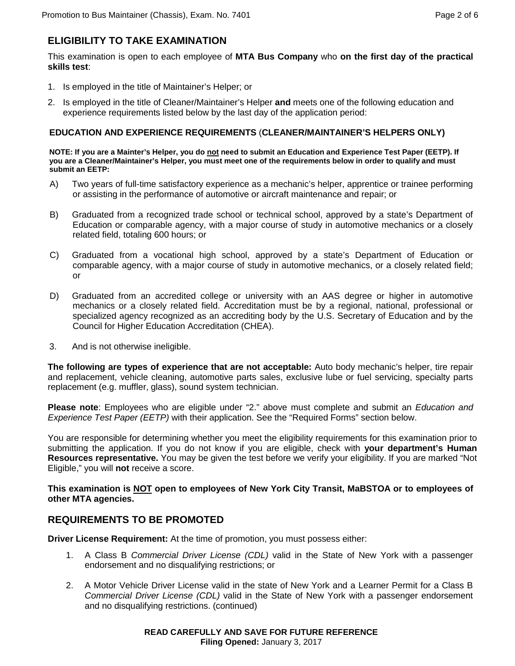# **ELIGIBILITY TO TAKE EXAMINATION**

This examination is open to each employee of **MTA Bus Company** who **on the first day of the practical skills test**:

- 1. Is employed in the title of Maintainer's Helper; or
- 2. Is employed in the title of Cleaner/Maintainer's Helper **and** meets one of the following education and experience requirements listed below by the last day of the application period:

#### **EDUCATION AND EXPERIENCE REQUIREMENTS** (**CLEANER/MAINTAINER'S HELPERS ONLY)**

**NOTE: If you are a Mainter's Helper, you do not need to submit an Education and Experience Test Paper (EETP). If you are a Cleaner/Maintainer's Helper, you must meet one of the requirements below in order to qualify and must submit an EETP:**

- A) Two years of full-time satisfactory experience as a mechanic's helper, apprentice or trainee performing or assisting in the performance of automotive or aircraft maintenance and repair; or
- B) Graduated from a recognized trade school or technical school, approved by a state's Department of Education or comparable agency, with a major course of study in automotive mechanics or a closely related field, totaling 600 hours; or
- C) Graduated from a vocational high school, approved by a state's Department of Education or comparable agency, with a major course of study in automotive mechanics, or a closely related field; or
- D) Graduated from an accredited college or university with an AAS degree or higher in automotive mechanics or a closely related field. Accreditation must be by a regional, national, professional or specialized agency recognized as an accrediting body by the U.S. Secretary of Education and by the Council for Higher Education Accreditation (CHEA).
- 3. And is not otherwise ineligible.

**The following are types of experience that are not acceptable:** Auto body mechanic's helper, tire repair and replacement, vehicle cleaning, automotive parts sales, exclusive lube or fuel servicing, specialty parts replacement (e.g. muffler, glass), sound system technician.

**Please note**: Employees who are eligible under "2." above must complete and submit an *Education and Experience Test Paper (EETP)* with their application. See the "Required Forms" section below.

You are responsible for determining whether you meet the eligibility requirements for this examination prior to submitting the application. If you do not know if you are eligible, check with **your department's Human Resources representative.** You may be given the test before we verify your eligibility. If you are marked "Not Eligible," you will **not** receive a score.

**This examination is NOT open to employees of New York City Transit, MaBSTOA or to employees of other MTA agencies.**

## **REQUIREMENTS TO BE PROMOTED**

**Driver License Requirement:** At the time of promotion, you must possess either:

- 1. A Class B *Commercial Driver License (CDL)* valid in the State of New York with a passenger endorsement and no disqualifying restrictions; or
- 2. A Motor Vehicle Driver License valid in the state of New York and a Learner Permit for a Class B *Commercial Driver License (CDL)* valid in the State of New York with a passenger endorsement and no disqualifying restrictions. (continued)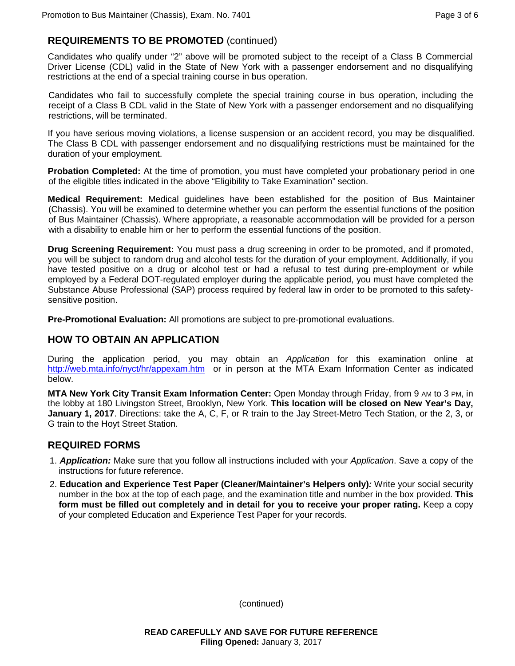## **REQUIREMENTS TO BE PROMOTED** (continued)

Candidates who qualify under "2" above will be promoted subject to the receipt of a Class B Commercial Driver License (CDL) valid in the State of New York with a passenger endorsement and no disqualifying restrictions at the end of a special training course in bus operation.

Candidates who fail to successfully complete the special training course in bus operation, including the receipt of a Class B CDL valid in the State of New York with a passenger endorsement and no disqualifying restrictions, will be terminated.

If you have serious moving violations, a license suspension or an accident record, you may be disqualified. The Class B CDL with passenger endorsement and no disqualifying restrictions must be maintained for the duration of your employment.

**Probation Completed:** At the time of promotion, you must have completed your probationary period in one of the eligible titles indicated in the above "Eligibility to Take Examination" section.

**Medical Requirement:** Medical guidelines have been established for the position of Bus Maintainer (Chassis). You will be examined to determine whether you can perform the essential functions of the position of Bus Maintainer (Chassis). Where appropriate, a reasonable accommodation will be provided for a person with a disability to enable him or her to perform the essential functions of the position.

**Drug Screening Requirement:** You must pass a drug screening in order to be promoted, and if promoted, you will be subject to random drug and alcohol tests for the duration of your employment. Additionally, if you have tested positive on a drug or alcohol test or had a refusal to test during pre-employment or while employed by a Federal DOT-regulated employer during the applicable period, you must have completed the Substance Abuse Professional (SAP) process required by federal law in order to be promoted to this safetysensitive position.

**Pre-Promotional Evaluation:** All promotions are subject to pre-promotional evaluations.

## **HOW TO OBTAIN AN APPLICATION**

During the application period, you may obtain an *Application* for this examination online at <http://web.mta.info/nyct/hr/appexam.htm> or in person at the MTA Exam Information Center as indicated below.

**MTA New York City Transit Exam Information Center:** Open Monday through Friday, from 9 AM to 3 PM, in the lobby at 180 Livingston Street, Brooklyn, New York. **This location will be closed on New Year's Day, January 1, 2017**. Directions: take the A, C, F, or R train to the Jay Street-Metro Tech Station, or the 2, 3, or G train to the Hoyt Street Station.

#### **REQUIRED FORMS**

- 1. *Application:* Make sure that you follow all instructions included with your *Application*. Save a copy of the instructions for future reference.
- 2. **Education and Experience Test Paper (Cleaner/Maintainer's Helpers only)***:* Write your social security number in the box at the top of each page, and the examination title and number in the box provided. **This form must be filled out completely and in detail for you to receive your proper rating.** Keep a copy of your completed Education and Experience Test Paper for your records.

(continued)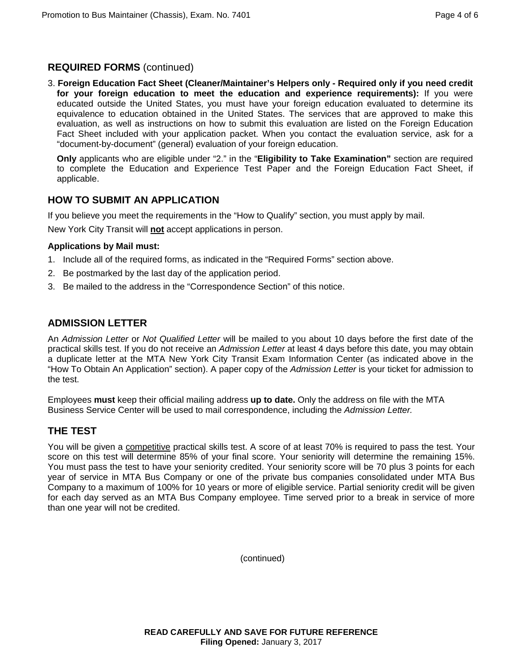## **REQUIRED FORMS** (continued)

3. **Foreign Education Fact Sheet (Cleaner/Maintainer's Helpers only - Required only if you need credit for your foreign education to meet the education and experience requirements):** If you were educated outside the United States, you must have your foreign education evaluated to determine its equivalence to education obtained in the United States. The services that are approved to make this evaluation, as well as instructions on how to submit this evaluation are listed on the Foreign Education Fact Sheet included with your application packet. When you contact the evaluation service, ask for a "document-by-document" (general) evaluation of your foreign education.

**Only** applicants who are eligible under "2." in the "**Eligibility to Take Examination"** section are required to complete the Education and Experience Test Paper and the Foreign Education Fact Sheet, if applicable.

## **HOW TO SUBMIT AN APPLICATION**

If you believe you meet the requirements in the "How to Qualify" section, you must apply by mail. New York City Transit will **not** accept applications in person.

#### **Applications by Mail must:**

- 1. Include all of the required forms, as indicated in the "Required Forms" section above.
- 2. Be postmarked by the last day of the application period.
- 3. Be mailed to the address in the "Correspondence Section" of this notice.

#### **ADMISSION LETTER**

An *Admission Letter* or *Not Qualified Letter* will be mailed to you about 10 days before the first date of the practical skills test. If you do not receive an *Admission Letter* at least 4 days before this date, you may obtain a duplicate letter at the MTA New York City Transit Exam Information Center (as indicated above in the "How To Obtain An Application" section). A paper copy of the *Admission Letter* is your ticket for admission to the test.

Employees **must** keep their official mailing address **up to date.** Only the address on file with the MTA Business Service Center will be used to mail correspondence, including the *Admission Letter.*

#### **THE TEST**

You will be given a competitive practical skills test. A score of at least 70% is required to pass the test. Your score on this test will determine 85% of your final score. Your seniority will determine the remaining 15%. You must pass the test to have your seniority credited. Your seniority score will be 70 plus 3 points for each year of service in MTA Bus Company or one of the private bus companies consolidated under MTA Bus Company to a maximum of 100% for 10 years or more of eligible service. Partial seniority credit will be given for each day served as an MTA Bus Company employee. Time served prior to a break in service of more than one year will not be credited.

(continued)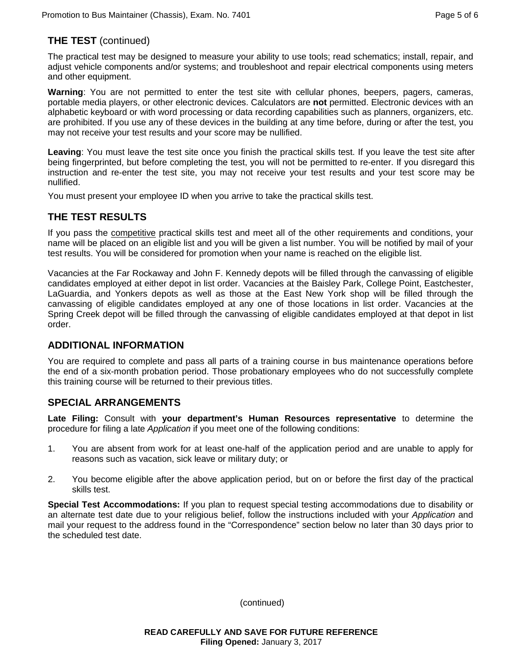## **THE TEST** (continued)

The practical test may be designed to measure your ability to use tools; read schematics; install, repair, and adjust vehicle components and/or systems; and troubleshoot and repair electrical components using meters and other equipment.

**Warning**: You are not permitted to enter the test site with cellular phones, beepers, pagers, cameras, portable media players, or other electronic devices. Calculators are **not** permitted. Electronic devices with an alphabetic keyboard or with word processing or data recording capabilities such as planners, organizers, etc. are prohibited. If you use any of these devices in the building at any time before, during or after the test, you may not receive your test results and your score may be nullified.

**Leaving**: You must leave the test site once you finish the practical skills test. If you leave the test site after being fingerprinted, but before completing the test, you will not be permitted to re-enter. If you disregard this instruction and re-enter the test site, you may not receive your test results and your test score may be nullified.

You must present your employee ID when you arrive to take the practical skills test.

# **THE TEST RESULTS**

If you pass the competitive practical skills test and meet all of the other requirements and conditions, your name will be placed on an eligible list and you will be given a list number. You will be notified by mail of your test results. You will be considered for promotion when your name is reached on the eligible list.

Vacancies at the Far Rockaway and John F. Kennedy depots will be filled through the canvassing of eligible candidates employed at either depot in list order. Vacancies at the Baisley Park, College Point, Eastchester, LaGuardia, and Yonkers depots as well as those at the East New York shop will be filled through the canvassing of eligible candidates employed at any one of those locations in list order. Vacancies at the Spring Creek depot will be filled through the canvassing of eligible candidates employed at that depot in list order.

#### **ADDITIONAL INFORMATION**

You are required to complete and pass all parts of a training course in bus maintenance operations before the end of a six-month probation period. Those probationary employees who do not successfully complete this training course will be returned to their previous titles.

## **SPECIAL ARRANGEMENTS**

**Late Filing:** Consult with **your department's Human Resources representative** to determine the procedure for filing a late *Application* if you meet one of the following conditions:

- 1. You are absent from work for at least one-half of the application period and are unable to apply for reasons such as vacation, sick leave or military duty; or
- 2. You become eligible after the above application period, but on or before the first day of the practical skills test.

**Special Test Accommodations:** If you plan to request special testing accommodations due to disability or an alternate test date due to your religious belief, follow the instructions included with your *Application* and mail your request to the address found in the "Correspondence" section below no later than 30 days prior to the scheduled test date.

(continued)